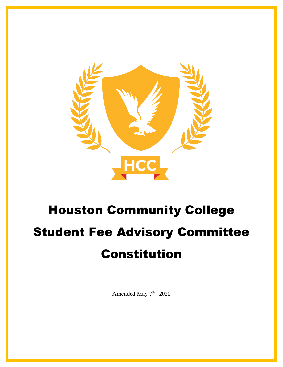

# Houston Community College Student Fee Advisory Committee Constitution

Amended May 7<sup>th</sup>, 2020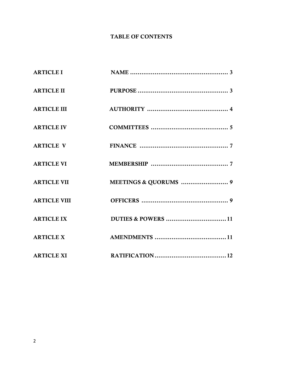# TABLE OF CONTENTS

| <b>ARTICLE I</b>    |  |
|---------------------|--|
| <b>ARTICLE II</b>   |  |
| <b>ARTICLE III</b>  |  |
| <b>ARTICLE IV</b>   |  |
| <b>ARTICLE V</b>    |  |
| <b>ARTICLE VI</b>   |  |
| <b>ARTICLE VII</b>  |  |
| <b>ARTICLE VIII</b> |  |
| <b>ARTICLE IX</b>   |  |
| <b>ARTICLE X</b>    |  |
| <b>ARTICLE XI</b>   |  |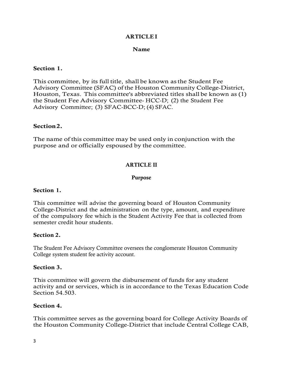### **ARTICLEI**

#### Name

#### Section 1.

This committee, by its full title, shall be known asthe Student Fee Advisory Committee (SFAC) of the Houston Community College-District, Houston, Texas. This committee's abbreviated titles shall be known as (1) the Student Fee Advisory Committee HCC-D; (2) the Student Fee Advisory Committee; (3) SFAC-BCC-D; (4) SFAC.

#### Section2.

The name of this committee may be used only in conjunction with the purpose and or officially espoused by the committee.

#### ARTICLE II

#### Purpose

#### Section 1.

This committee will advise the governing board of Houston Community College-District and the administration on the type, amount, and expenditure of the compulsory fee which is the Student Activity Fee that is collected from semester credit hour students.

#### Section 2.

The Student Fee Advisory Committee oversees the conglomerate Houston Community College system student fee activity account.

#### Section 3.

This committee will govern the disbursement of funds for any student activity and or services, which is in accordance to the Texas Education Code Section 54.503.

#### Section 4.

This committee serves as the governing board for College Activity Boards of the Houston Community College-District that include Central College CAB,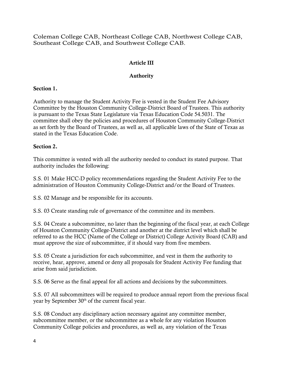Coleman College CAB, Northeast College CAB, Northwest College CAB, Southeast College CAB, and Southwest College CAB.

# Article III

## Authority

## Section 1.

Authority to manage the Student Activity Fee is vested in the Student Fee Advisory Committee by the Houston Community College-District Board of Trustees. This authority is pursuant to the Texas State Legislature via Texas Education Code 54.5031. The committee shall obey the policies and procedures of Houston Community College-District as set forth by the Board of Trustees, as well as, all applicable laws of the State of Texas as stated in the Texas Education Code.

## Section 2.

This committee is vested with all the authority needed to conduct its stated purpose. That authority includes the following:

S.S. 01 Make HCC-D policy recommendations regarding the Student Activity Fee to the administration of Houston Community College-District and/or the Board of Trustees.

S.S. 02 Manage and be responsible for its accounts.

S.S. 03 Create standing rule of governance of the committee and its members.

S.S. 04 Create a subcommittee, no later than the beginning of the fiscal year, at each College of Houston Community College-District and another at the district level which shall be referred to as the HCC (Name of the College or District) College Activity Board (CAB) and must approve the size of subcommittee, if it should vary from five members.

S.S. 05 Create a jurisdiction for each subcommittee, and vest in them the authority to receive, hear, approve, amend or deny all proposals for Student Activity Fee funding that arise from said jurisdiction.

S.S. 06 Serve as the final appeal for all actions and decisions by the subcommittees.

S.S. 07 All subcommittees will be required to produce annual report from the previous fiscal year by September 30<sup>th</sup> of the current fiscal year.

S.S. 08 Conduct any disciplinary action necessary against any committee member, subcommittee member, or the subcommittee as a whole for any violation Houston Community College policies and procedures, as well as, any violation of the Texas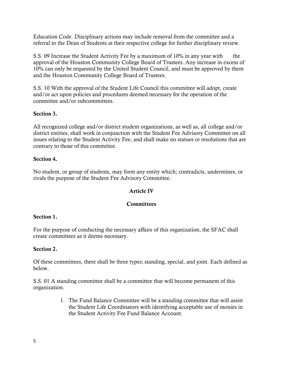Education Code. Disciplinary actions may include removal from the committee and a referral to the Dean of Students at their respective college for further disciplinary review.

S.S. 09 Increase the Student Activity Fee by a maximum of 10% in any year with the approval of the Houston Community College Board of Trustees. Any increase in excess of 10% can only be requested by the United Student Council, and must be approved by them and the Houston Community College Board of Trustees.

S.S. 10 With the approval of the Student Life Council this committee will adopt, create and/or act upon policies and procedures deemed necessary for the operation of the committee and/or subcommittees.

## Section 3.

All recognized college and/or district student organizations, as well as, all college and/or district entities, shall work in conjunction with the Student Fee Advisory Committee on all issues relating to the Student Activity Fee, and shall make no statues or resolutions that are contrary to those of this committee.

#### Section 4.

No student, or group of students, may form any entity which; contradicts, undermines, or rivals the purpose of the Student Fee Advisory Committee.

#### Article IV

#### **Committees**

#### Section 1.

For the purpose of conducting the necessary affairs of this organization, the SFAC shall create committees as it deems necessary.

#### Section 2.

Of these committees, there shall be three types; standing, special, and joint. Each defined as below.

S.S. 01 A standing committee shall be a committee that will become permanent of this organization.

> 1. The Fund Balance Committee will be a standing committee that will assist the Student Life Coordinators with identifying acceptable use of monies in the Student Activity Fee Fund Balance Account.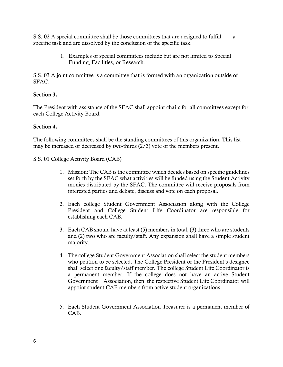S.S. 02 A special committee shall be those committees that are designed to fulfill a specific task and are dissolved by the conclusion of the specific task.

> 1. Examples of special committees include but are not limited to Special Funding, Facilities, or Research.

S.S. 03 A joint committee is a committee that is formed with an organization outside of SFAC.

## Section 3.

The President with assistance of the SFAC shall appoint chairs for all committees except for each College Activity Board.

#### Section 4.

The following committees shall be the standing committees of this organization. This list may be increased or decreased by two-thirds (2/3) vote of the members present.

- S.S. 01 College Activity Board (CAB)
	- 1. Mission: The CAB is the committee which decides based on specific guidelines set forth by the SFAC what activities will be funded using the Student Activity monies distributed by the SFAC. The committee will receive proposals from interested parties and debate, discuss and vote on each proposal.
	- 2. Each college Student Government Association along with the College President and College Student Life Coordinator are responsible for establishing each CAB.
	- 3. Each CAB should have at least (5) members in total, (3) three who are students and (2) two who are faculty/staff. Any expansion shall have a simple student majority.
	- 4. The college Student Government Association shall select the student members who petition to be selected. The College President or the President's designee shall select one faculty/staff member. The college Student Life Coordinator is a permanent member. If the college does not have an active Student Government Association, then the respective Student Life Coordinator will appoint student CAB members from active student organizations.
	- 5. Each Student Government Association Treasurer is a permanent member of CAB.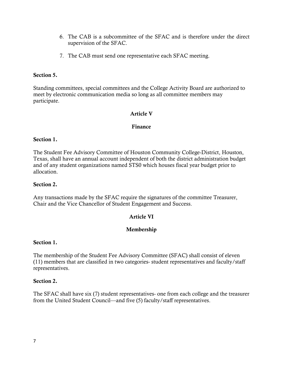- 6. The CAB is a subcommittee of the SFAC and is therefore under the direct supervision of the SFAC.
- 7. The CAB must send one representative each SFAC meeting.

#### Section 5.

Standing committees, special committees and the College Activity Board are authorized to meet by electronic communication media so long as all committee members may participate.

#### Article V

#### Finance

#### Section 1.

The Student Fee Advisory Committee of Houston Community College-District, Houston, Texas, shall have an annual account independent of both the district administration budget and of any student organizations named STS0 which houses fiscal year budget prior to allocation.

#### Section 2.

Any transactions made by the SFAC require the signatures of the committee Treasurer, Chair and the Vice Chancellor of Student Engagement and Success.

#### Article VI

#### Membership

#### Section 1.

The membership of the Student Fee Advisory Committee (SFAC) shall consist of eleven (11) members that are classified in two categories- student representatives and faculty/staff representatives.

#### Section 2.

The SFAC shall have six (7) student representatives- one from each college and the treasurer from the United Student Council—and five (5) faculty/staff representatives.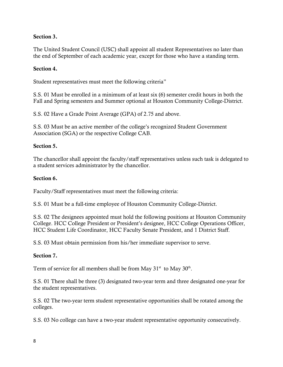## Section 3.

The United Student Council (USC) shall appoint all student Representatives no later than the end of September of each academic year, except for those who have a standing term.

## Section 4.

Student representatives must meet the following criteria"

S.S. 01 Must be enrolled in a minimum of at least six (6) semester credit hours in both the Fall and Spring semesters and Summer optional at Houston Community College-District.

S.S. 02 Have a Grade Point Average (GPA) of 2.75 and above.

S.S. 03 Must be an active member of the college's recognized Student Government Association (SGA) or the respective College CAB.

## Section 5.

The chancellor shall appoint the faculty/staff representatives unless such task is delegated to a student services administrator by the chancellor.

## Section 6.

Faculty/Staff representatives must meet the following criteria:

S.S. 01 Must be a full-time employee of Houston Community College-District.

S.S. 02 The designees appointed must hold the following positions at Houston Community College. HCC College President or President's designee, HCC College Operations Officer, HCC Student Life Coordinator, HCC Faculty Senate President, and 1 District Staff.

S.S. 03 Must obtain permission from his/her immediate supervisor to serve.

#### Section 7.

Term of service for all members shall be from May  $31<sup>st</sup>$  to May  $30<sup>th</sup>$ .

S.S. 01 There shall be three (3) designated two-year term and three designated one-year for the student representatives.

S.S. 02 The two-year term student representative opportunities shall be rotated among the colleges.

S.S. 03 No college can have a two-year student representative opportunity consecutively.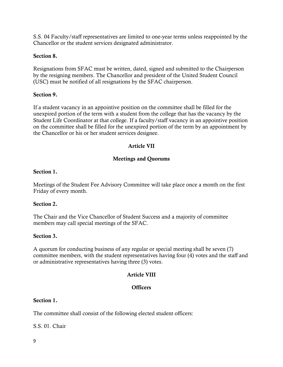S.S. 04 Faculty/staff representatives are limited to one-year terms unless reappointed by the Chancellor or the student services designated administrator.

#### Section 8.

Resignations from SFAC must be written, dated, signed and submitted to the Chairperson by the resigning members. The Chancellor and president of the United Student Council (USC) must be notified of all resignations by the SFAC chairperson.

#### Section 9.

If a student vacancy in an appointive position on the committee shall be filled for the unexpired portion of the term with a student from the college that has the vacancy by the Student Life Coordinator at that college. If a faculty/staff vacancy in an appointive position on the committee shall be filled for the unexpired portion of the term by an appointment by the Chancellor or his or her student services designee.

## Article VII

## Meetings and Quorums

#### Section 1.

Meetings of the Student Fee Advisory Committee will take place once a month on the first Friday of every month.

#### Section 2.

The Chair and the Vice Chancellor of Student Success and a majority of committee members may call special meetings of the SFAC.

#### Section 3.

A quorum for conducting business of any regular or special meeting shall be seven (7) committee members, with the student representatives having four (4) votes and the staff and or administrative representatives having three (3) votes.

#### Article VIII

#### **Officers**

#### Section 1.

The committee shall consist of the following elected student officers:

S.S. 01. Chair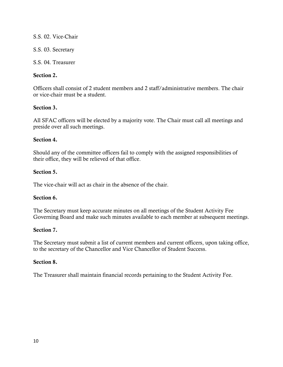## S.S. 02. Vice-Chair

## S.S. 03. Secretary

## S.S. 04. Treasurer

## Section 2.

Officers shall consist of 2 student members and 2 staff/administrative members. The chair or vice-chair must be a student.

## Section 3.

All SFAC officers will be elected by a majority vote. The Chair must call all meetings and preside over all such meetings.

## Section 4.

Should any of the committee officers fail to comply with the assigned responsibilities of their office, they will be relieved of that office.

## Section 5.

The vice-chair will act as chair in the absence of the chair.

## Section 6.

The Secretary must keep accurate minutes on all meetings of the Student Activity Fee Governing Board and make such minutes available to each member at subsequent meetings.

#### Section 7.

The Secretary must submit a list of current members and current officers, upon taking office, to the secretary of the Chancellor and Vice Chancellor of Student Success.

#### Section 8.

The Treasurer shall maintain financial records pertaining to the Student Activity Fee.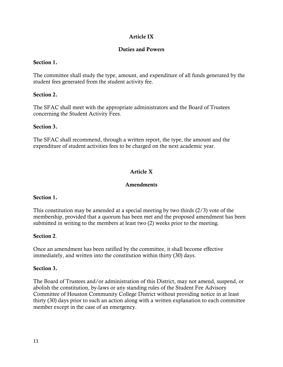## Article IX

## Duties and Powers

#### Section 1.

The committee shall study the type, amount, and expenditure of all funds generated by the student fees generated from the student activity fee.

## Section 2.

The SFAC shall meet with the appropriate administrators and the Board of Trustees concerning the Student Activity Fees.

#### Section 3.

The SFAC shall recommend, through a written report, the type, the amount and the expenditure of student activities fees to be charged on the next academic year.

# Article X

#### Amendments

#### Section 1.

This constitution may be amended at a special meeting by two thirds  $(2/3)$  vote of the membership, provided that a quorum has been met and the proposed amendment has been submitted in writing to the members at least two (2) weeks prior to the meeting.

#### Section 2.

Once an amendment has been ratified by the committee, it shall become effective immediately, and written into the constitution within thirty (30) days.

#### Section 3.

The Board of Trustees and/or administration of this District, may not amend, suspend, or abolish the constitution, by-laws or any standing rules of the Student Fee Advisory Committee of Houston Community College District without providing notice in at least thirty (30) days prior to such an action along with a written explanation to each committee member except in the case of an emergency.